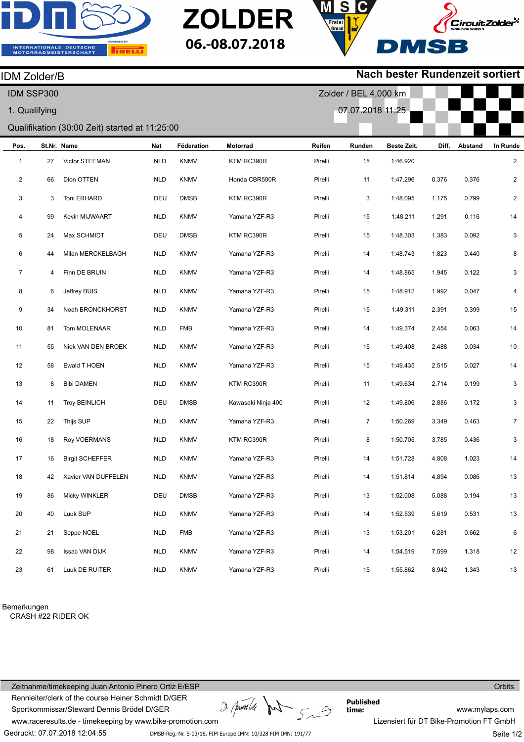

IDM Zolder/B



## **Nach bester Rundenzeit sortiert**

| IDM SSP300                                     |    |                        |            |             |                    | Zolder / BEL 4,000 km |                  |             |       |         |                |
|------------------------------------------------|----|------------------------|------------|-------------|--------------------|-----------------------|------------------|-------------|-------|---------|----------------|
| 1. Qualifying                                  |    |                        |            |             |                    |                       | 07.07.2018 11:25 |             |       |         |                |
| Qualifikation (30:00 Zeit) started at 11:25:00 |    |                        |            |             |                    |                       |                  |             |       |         |                |
| Pos.                                           |    | St.Nr. Name            | Nat        | Föderation  | Motorrad           | Reifen                | Runden           | Beste Zeit. | Diff. | Abstand | In Runde       |
| $\mathbf{1}$                                   | 27 | Victor STEEMAN         | <b>NLD</b> | <b>KNMV</b> | KTM RC390R         | Pirelli               | 15               | 1:46.920    |       |         | $\overline{c}$ |
| 2                                              | 66 | Dion OTTEN             | <b>NLD</b> | <b>KNMV</b> | Honda CBR500R      | Pirelli               | 11               | 1:47.296    | 0.376 | 0.376   | 2              |
| 3                                              | 3  | Toni ERHARD            | DEU        | <b>DMSB</b> | KTM RC390R         | Pirelli               | 3                | 1:48.095    | 1.175 | 0.799   | $\overline{c}$ |
| 4                                              | 99 | Kevin MIJWAART         | <b>NLD</b> | <b>KNMV</b> | Yamaha YZF-R3      | Pirelli               | 15               | 1:48.211    | 1.291 | 0.116   | $14$           |
| 5                                              | 24 | Max SCHMIDT            | DEU        | <b>DMSB</b> | KTM RC390R         | Pirelli               | 15               | 1:48.303    | 1.383 | 0.092   | 3              |
| 6                                              | 44 | Milan MERCKELBAGH      | <b>NLD</b> | <b>KNMV</b> | Yamaha YZF-R3      | Pirelli               | 14               | 1:48.743    | 1.823 | 0.440   | 8              |
| $\overline{7}$                                 | 4  | Finn DE BRUIN          | <b>NLD</b> | <b>KNMV</b> | Yamaha YZF-R3      | Pirelli               | 14               | 1:48.865    | 1.945 | 0.122   | 3              |
| 8                                              | 6  | Jeffrey BUIS           | <b>NLD</b> | <b>KNMV</b> | Yamaha YZF-R3      | Pirelli               | 15               | 1:48.912    | 1.992 | 0.047   | 4              |
| 9                                              | 34 | Noah BRONCKHORST       | <b>NLD</b> | <b>KNMV</b> | Yamaha YZF-R3      | Pirelli               | 15               | 1:49.311    | 2.391 | 0.399   | 15             |
| $10$                                           | 81 | Tom MOLENAAR           | <b>NLD</b> | <b>FMB</b>  | Yamaha YZF-R3      | Pirelli               | 14               | 1:49.374    | 2.454 | 0.063   | 14             |
| 11                                             | 55 | Niek VAN DEN BROEK     | <b>NLD</b> | <b>KNMV</b> | Yamaha YZF-R3      | Pirelli               | 15               | 1:49.408    | 2.488 | 0.034   | $10$           |
| 12                                             | 58 | Ewald T HOEN           | <b>NLD</b> | <b>KNMV</b> | Yamaha YZF-R3      | Pirelli               | 15               | 1:49.435    | 2.515 | 0.027   | $14$           |
| 13                                             | 8  | <b>Bibi DAMEN</b>      | <b>NLD</b> | <b>KNMV</b> | KTM RC390R         | Pirelli               | 11               | 1:49.634    | 2.714 | 0.199   | 3              |
| 14                                             | 11 | <b>Troy BEINLICH</b>   | DEU        | <b>DMSB</b> | Kawasaki Ninja 400 | Pirelli               | 12               | 1:49.806    | 2.886 | 0.172   | 3              |
| 15                                             | 22 | Thijs SUP              | <b>NLD</b> | <b>KNMV</b> | Yamaha YZF-R3      | Pirelli               | $\overline{7}$   | 1:50.269    | 3.349 | 0.463   | $\overline{7}$ |
| 16                                             | 18 | Roy VOERMANS           | <b>NLD</b> | <b>KNMV</b> | KTM RC390R         | Pirelli               | 8                | 1:50.705    | 3.785 | 0.436   | 3              |
| 17                                             | 16 | <b>Birgit SCHEFFER</b> | <b>NLD</b> | <b>KNMV</b> | Yamaha YZF-R3      | Pirelli               | 14               | 1:51.728    | 4.808 | 1.023   | 14             |
| 18                                             | 42 | Xavier VAN DUFFELEN    | <b>NLD</b> | <b>KNMV</b> | Yamaha YZF-R3      | Pirelli               | 14               | 1:51.814    | 4.894 | 0.086   | 13             |
| 19                                             | 86 | Micky WINKLER          | DEU        | <b>DMSB</b> | Yamaha YZF-R3      | Pirelli               | 13               | 1:52.008    | 5.088 | 0.194   | $13$           |
| 20                                             | 40 | Luuk SUP               | <b>NLD</b> | <b>KNMV</b> | Yamaha YZF-R3      | Pirelli               | 14               | 1:52.539    | 5.619 | 0.531   | $13$           |
| 21                                             | 21 | Seppe NOEL             | <b>NLD</b> | <b>FMB</b>  | Yamaha YZF-R3      | Pirelli               | 13               | 1:53.201    | 6.281 | 0.662   | 6              |
| 22                                             | 98 | <b>Issac VAN DIJK</b>  | <b>NLD</b> | <b>KNMV</b> | Yamaha YZF-R3      | Pirelli               | 14               | 1:54.519    | 7.599 | 1.318   | $12\,$         |
| 23                                             | 61 | Luuk DE RUITER         | NLD        | KNMV        | Yamaha YZF-R3      | Pirelli               | 15               | 1:55.862    | 8.942 | 1.343   | 13             |

Bemerkungen

CRASH #22 RIDER OK

Zeitnahme/timekeeping Juan Antonio Pinero Ortiz E/ESP Rennleiter/clerk of the course Heiner Schmidt D/GER Sportkommissar/Steward Dennis Brödel D/GER

 $D$  (pum/de )  $\curvearrowright$ 

**Published time:**

**Orbits** 

www.raceresults.de - timekeeping by www.bike-promotion.com

Gedruckt: 07.07.2018 12:04:55

DMSB-Reg.-Nr. S-03/18, FIM Europe IMN: 10/328 FIM IMN: 191/77

www.mylaps.com Lizensiert für DT Bike-Promotion FT GmbH Seite 1/2